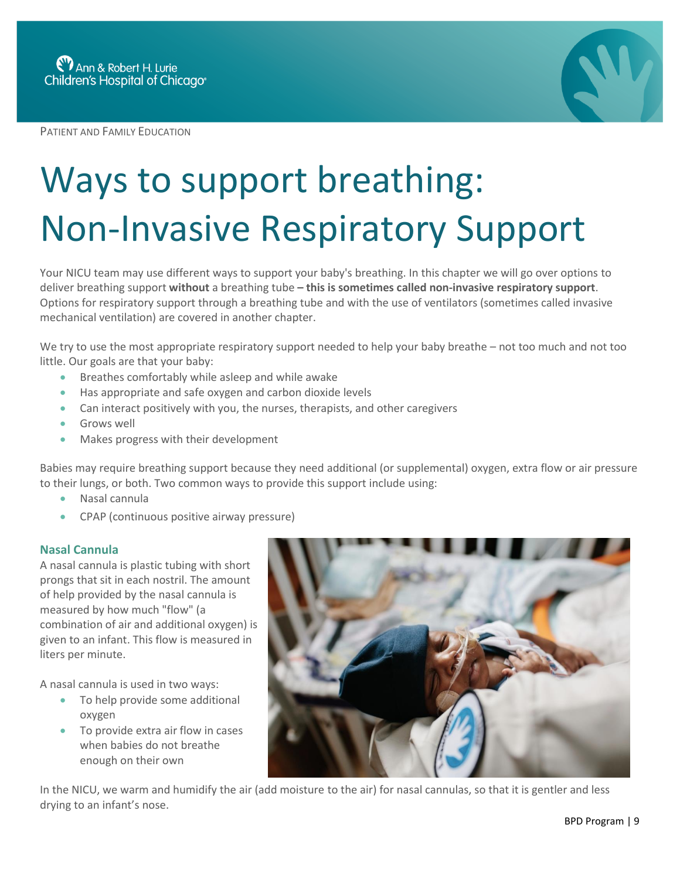PATIENT AND FAMILY EDUCATION



## Ways to support breathing: Non-Invasive Respiratory Support

Your NICU team may use different ways to support your baby's breathing. In this chapter we will go over options to deliver breathing support **without** a breathing tube **– this is sometimes called non-invasive respiratory support**. Options for respiratory support through a breathing tube and with the use of ventilators (sometimes called invasive mechanical ventilation) are covered in another chapter.

We try to use the most appropriate respiratory support needed to help your baby breathe – not too much and not too little. Our goals are that your baby:

- Breathes comfortably while asleep and while awake
- Has appropriate and safe oxygen and carbon dioxide levels
- Can interact positively with you, the nurses, therapists, and other caregivers
- Grows well
- Makes progress with their development

Babies may require breathing support because they need additional (or supplemental) oxygen, extra flow or air pressure to their lungs, or both. Two common ways to provide this support include using:

- Nasal cannula
- CPAP (continuous positive airway pressure)

## **Nasal Cannula**

A nasal cannula is plastic tubing with short prongs that sit in each nostril. The amount of help provided by the nasal cannula is measured by how much "flow" (a combination of air and additional oxygen) is given to an infant. This flow is measured in liters per minute.

A nasal cannula is used in two ways:

- To help provide some additional oxygen
- To provide extra air flow in cases when babies do not breathe enough on their own



In the NICU, we warm and humidify the air (add moisture to the air) for nasal cannulas, so that it is gentler and less drying to an infant's nose.